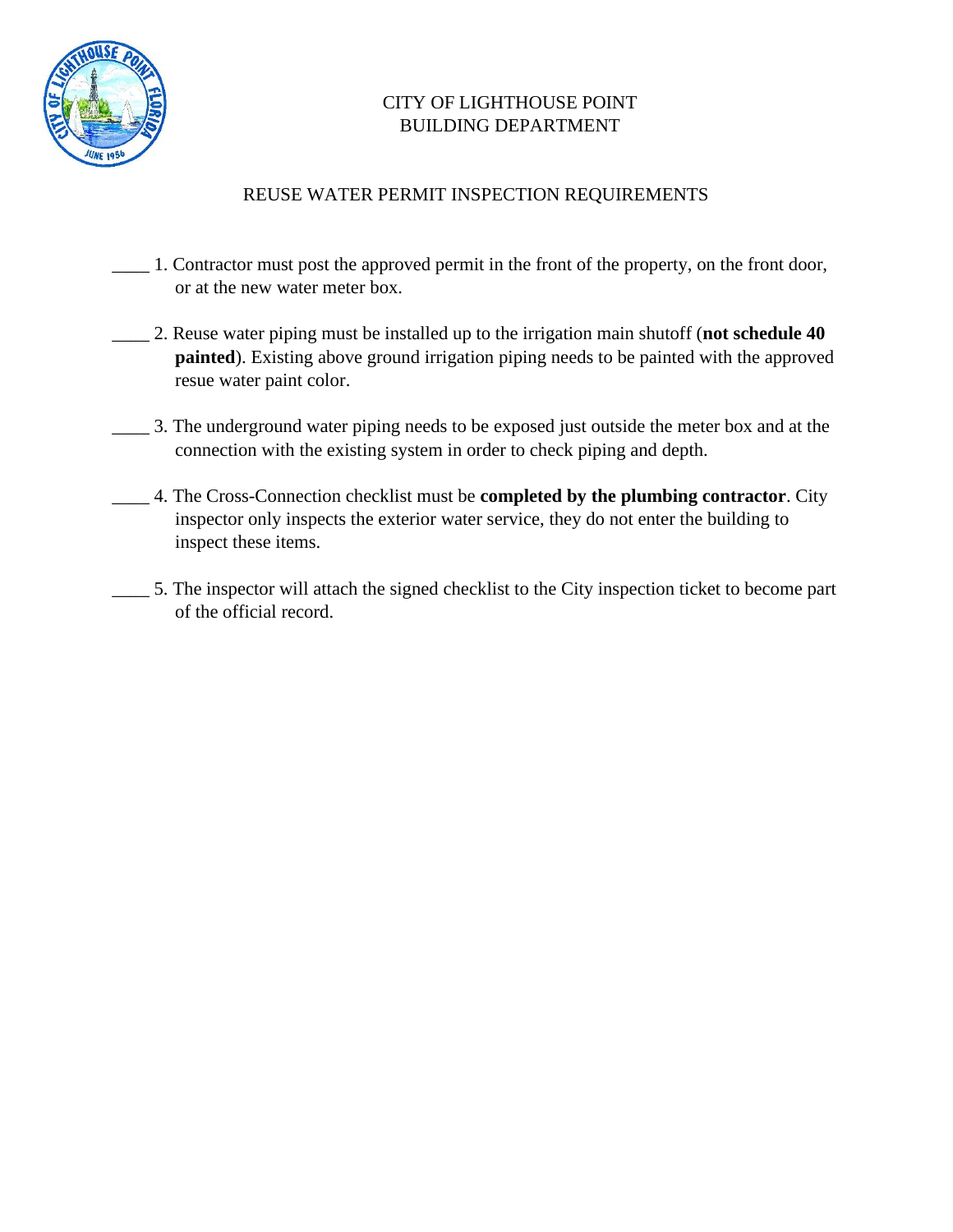

## CITY OF LIGHTHOUSE POINT BUILDING DEPARTMENT

## REUSE WATER PERMIT INSPECTION REQUIREMENTS

- \_\_\_\_ 1. Contractor must post the approved permit in the front of the property, on the front door, or at the new water meter box.
- \_\_\_\_ 2. Reuse water piping must be installed up to the irrigation main shutoff (**not schedule 40 painted**). Existing above ground irrigation piping needs to be painted with the approved resue water paint color.
- \_\_\_\_ 3. The underground water piping needs to be exposed just outside the meter box and at the connection with the existing system in order to check piping and depth.
- \_\_\_\_ 4. The Cross-Connection checklist must be **completed by the plumbing contractor**. City inspector only inspects the exterior water service, they do not enter the building to inspect these items.
- \_\_\_\_ 5. The inspector will attach the signed checklist to the City inspection ticket to become part of the official record.